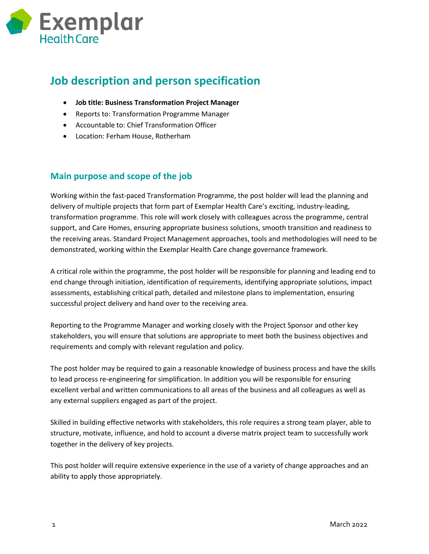

## **Job description and person specification**

- **Job title: Business Transformation Project Manager**
- Reports to: Transformation Programme Manager
- Accountable to: Chief Transformation Officer
- Location: Ferham House, Rotherham

## **Main purpose and scope of the job**

Working within the fast-paced Transformation Programme, the post holder will lead the planning and delivery of multiple projects that form part of Exemplar Health Care's exciting, industry-leading, transformation programme. This role will work closely with colleagues across the programme, central support, and Care Homes, ensuring appropriate business solutions, smooth transition and readiness to the receiving areas. Standard Project Management approaches, tools and methodologies will need to be demonstrated, working within the Exemplar Health Care change governance framework.

A critical role within the programme, the post holder will be responsible for planning and leading end to end change through initiation, identification of requirements, identifying appropriate solutions, impact assessments, establishing critical path, detailed and milestone plans to implementation, ensuring successful project delivery and hand over to the receiving area.

Reporting to the Programme Manager and working closely with the Project Sponsor and other key stakeholders, you will ensure that solutions are appropriate to meet both the business objectives and requirements and comply with relevant regulation and policy.

The post holder may be required to gain a reasonable knowledge of business process and have the skills to lead process re-engineering for simplification. In addition you will be responsible for ensuring excellent verbal and written communications to all areas of the business and all colleagues as well as any external suppliers engaged as part of the project.

Skilled in building effective networks with stakeholders, this role requires a strong team player, able to structure, motivate, influence, and hold to account a diverse matrix project team to successfully work together in the delivery of key projects.

This post holder will require extensive experience in the use of a variety of change approaches and an ability to apply those appropriately.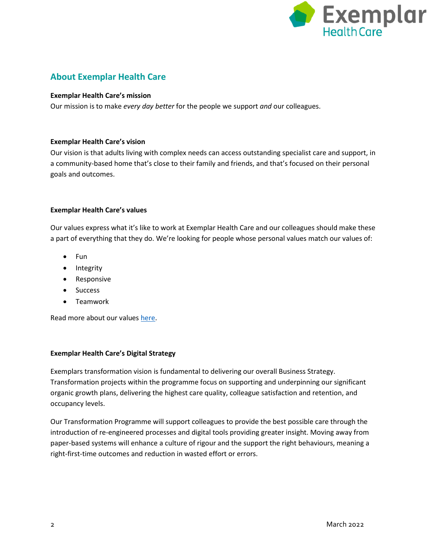

## **About Exemplar Health Care**

#### **Exemplar Health Care's mission**

Our mission is to make *every day better* for the people we support *and* our colleagues.

#### **Exemplar Health Care's vision**

Our vision is that adults living with complex needs can access outstanding specialist care and support, in a community-based home that's close to their family and friends, and that's focused on their personal goals and outcomes.

#### **Exemplar Health Care's values**

Our values express what it's like to work at Exemplar Health Care and our colleagues should make these a part of everything that they do. We're looking for people whose personal values match our values of:

- **Fun**
- Integrity
- Responsive
- **•** Success
- **•** Teamwork

Read more about our values [here.](https://www.exemplarhc.com/about-us/our-values)

#### **Exemplar Health Care's Digital Strategy**

Exemplars transformation vision is fundamental to delivering our overall Business Strategy. Transformation projects within the programme focus on supporting and underpinning our significant organic growth plans, delivering the highest care quality, colleague satisfaction and retention, and occupancy levels.

Our Transformation Programme will support colleagues to provide the best possible care through the introduction of re-engineered processes and digital tools providing greater insight. Moving away from paper-based systems will enhance a culture of rigour and the support the right behaviours, meaning a right-first-time outcomes and reduction in wasted effort or errors.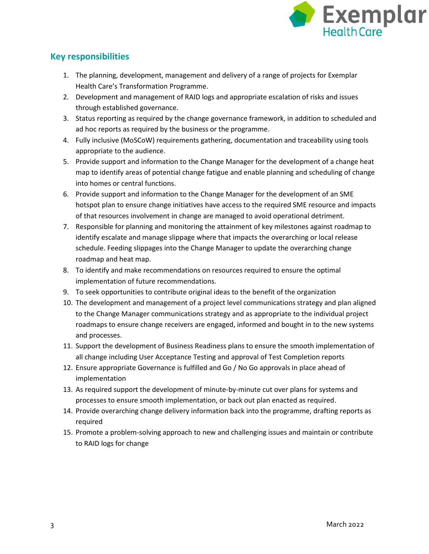

## **Key responsibilities**

- 1. The planning, development, management and delivery of a range of projects for Exemplar Health Care's Transformation Programme.
- 2. Development and management of RAID logs and appropriate escalation of risks and issues through established governance.
- 3. Status reporting as required by the change governance framework, in addition to scheduled and ad hoc reports as required by the business or the programme.
- 4. Fully inclusive (MoSCoW) requirements gathering, documentation and traceability using tools appropriate to the audience.
- 5. Provide support and information to the Change Manager for the development of a change heat map to identify areas of potential change fatigue and enable planning and scheduling of change into homes or central functions.
- 6. Provide support and information to the Change Manager for the development of an SME hotspot plan to ensure change initiatives have access to the required SME resource and impacts of that resources involvement in change are managed to avoid operational detriment.
- 7. Responsible for planning and monitoring the attainment of key milestones against roadmap to identify escalate and manage slippage where that impacts the overarching or local release schedule. Feeding slippages into the Change Manager to update the overarching change roadmap and heat map.
- 8. To identify and make recommendations on resources required to ensure the optimal implementation of future recommendations.
- 9. To seek opportunities to contribute original ideas to the benefit of the organization
- 10. The development and management of a project level communications strategy and plan aligned to the Change Manager communications strategy and as appropriate to the individual project roadmaps to ensure change receivers are engaged, informed and bought in to the new systems and processes.
- 11. Support the development of Business Readiness plans to ensure the smooth implementation of all change including User Acceptance Testing and approval of Test Completion reports
- 12. Ensure appropriate Governance is fulfilled and Go / No Go approvals in place ahead of implementation
- 13. As required support the development of minute-by-minute cut over plans for systems and processes to ensure smooth implementation, or back out plan enacted as required.
- 14. Provide overarching change delivery information back into the programme, drafting reports as required
- 15. Promote a problem-solving approach to new and challenging issues and maintain or contribute to RAID logs for change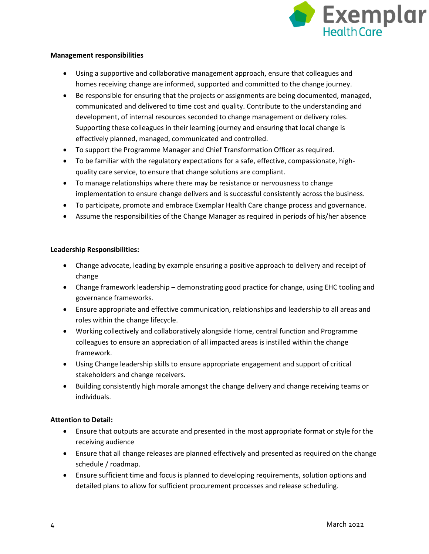

#### **Management responsibilities**

- Using a supportive and collaborative management approach, ensure that colleagues and homes receiving change are informed, supported and committed to the change journey.
- Be responsible for ensuring that the projects or assignments are being documented, managed, communicated and delivered to time cost and quality. Contribute to the understanding and development, of internal resources seconded to change management or delivery roles. Supporting these colleagues in their learning journey and ensuring that local change is effectively planned, managed, communicated and controlled.
- To support the Programme Manager and Chief Transformation Officer as required.
- To be familiar with the regulatory expectations for a safe, effective, compassionate, highquality care service, to ensure that change solutions are compliant.
- To manage relationships where there may be resistance or nervousness to change implementation to ensure change delivers and is successful consistently across the business.
- To participate, promote and embrace Exemplar Health Care change process and governance.
- Assume the responsibilities of the Change Manager as required in periods of his/her absence

#### **Leadership Responsibilities:**

- Change advocate, leading by example ensuring a positive approach to delivery and receipt of change
- Change framework leadership demonstrating good practice for change, using EHC tooling and governance frameworks.
- Ensure appropriate and effective communication, relationships and leadership to all areas and roles within the change lifecycle.
- Working collectively and collaboratively alongside Home, central function and Programme colleagues to ensure an appreciation of all impacted areas is instilled within the change framework.
- Using Change leadership skills to ensure appropriate engagement and support of critical stakeholders and change receivers.
- Building consistently high morale amongst the change delivery and change receiving teams or individuals.

#### **Attention to Detail:**

- Ensure that outputs are accurate and presented in the most appropriate format or style for the receiving audience
- Ensure that all change releases are planned effectively and presented as required on the change schedule / roadmap.
- Ensure sufficient time and focus is planned to developing requirements, solution options and detailed plans to allow for sufficient procurement processes and release scheduling.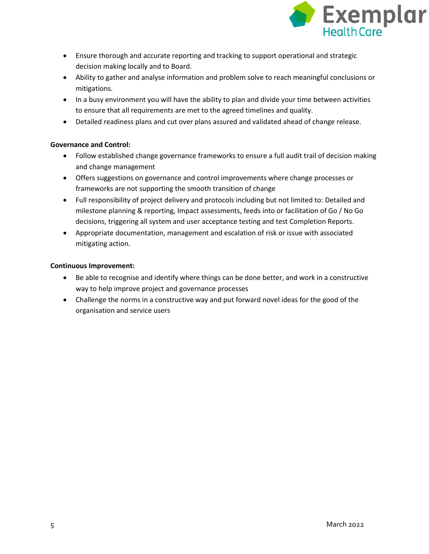

- Ensure thorough and accurate reporting and tracking to support operational and strategic decision making locally and to Board.
- Ability to gather and analyse information and problem solve to reach meaningful conclusions or mitigations.
- In a busy environment you will have the ability to plan and divide your time between activities to ensure that all requirements are met to the agreed timelines and quality.
- Detailed readiness plans and cut over plans assured and validated ahead of change release.

#### **Governance and Control:**

- Follow established change governance frameworks to ensure a full audit trail of decision making and change management
- Offers suggestions on governance and control improvements where change processes or frameworks are not supporting the smooth transition of change
- Full responsibility of project delivery and protocols including but not limited to: Detailed and milestone planning & reporting, Impact assessments, feeds into or facilitation of Go / No Go decisions, triggering all system and user acceptance testing and test Completion Reports.
- Appropriate documentation, management and escalation of risk or issue with associated mitigating action.

#### **Continuous Improvement:**

- Be able to recognise and identify where things can be done better, and work in a constructive way to help improve project and governance processes
- Challenge the norms in a constructive way and put forward novel ideas for the good of the organisation and service users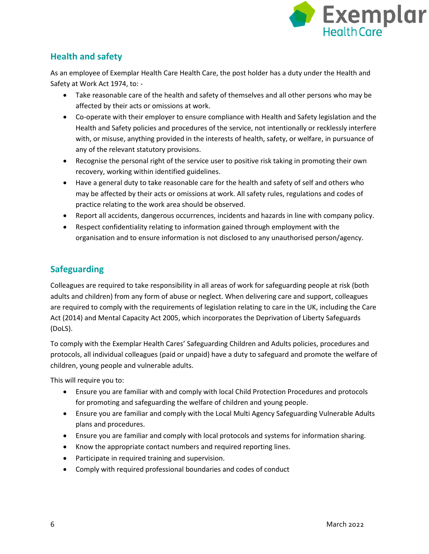

## **Health and safety**

As an employee of Exemplar Health Care Health Care, the post holder has a duty under the Health and Safety at Work Act 1974, to: -

- Take reasonable care of the health and safety of themselves and all other persons who may be affected by their acts or omissions at work.
- Co-operate with their employer to ensure compliance with Health and Safety legislation and the Health and Safety policies and procedures of the service, not intentionally or recklessly interfere with, or misuse, anything provided in the interests of health, safety, or welfare, in pursuance of any of the relevant statutory provisions.
- Recognise the personal right of the service user to positive risk taking in promoting their own recovery, working within identified guidelines.
- Have a general duty to take reasonable care for the health and safety of self and others who may be affected by their acts or omissions at work. All safety rules, regulations and codes of practice relating to the work area should be observed.
- Report all accidents, dangerous occurrences, incidents and hazards in line with company policy.
- Respect confidentiality relating to information gained through employment with the organisation and to ensure information is not disclosed to any unauthorised person/agency.

## **Safeguarding**

Colleagues are required to take responsibility in all areas of work for safeguarding people at risk (both adults and children) from any form of abuse or neglect. When delivering care and support, colleagues are required to comply with the requirements of legislation relating to care in the UK, including the Care Act (2014) and Mental Capacity Act 2005, which incorporates the Deprivation of Liberty Safeguards (DoLS).

To comply with the Exemplar Health Cares' Safeguarding Children and Adults policies, procedures and protocols, all individual colleagues (paid or unpaid) have a duty to safeguard and promote the welfare of children, young people and vulnerable adults.

This will require you to:

- Ensure you are familiar with and comply with local Child Protection Procedures and protocols for promoting and safeguarding the welfare of children and young people.
- Ensure you are familiar and comply with the Local Multi Agency Safeguarding Vulnerable Adults plans and procedures.
- Ensure you are familiar and comply with local protocols and systems for information sharing.
- Know the appropriate contact numbers and required reporting lines.
- Participate in required training and supervision.
- Comply with required professional boundaries and codes of conduct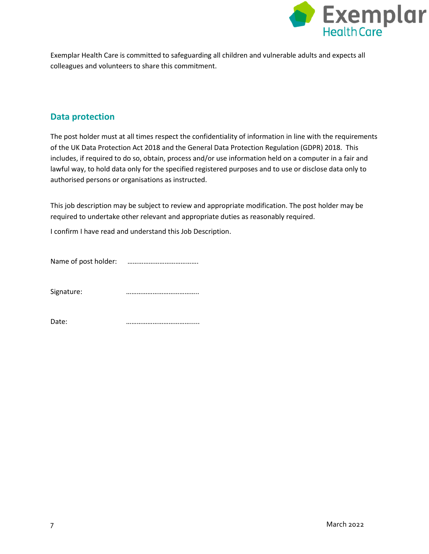

Exemplar Health Care is committed to safeguarding all children and vulnerable adults and expects all colleagues and volunteers to share this commitment.

## **Data protection**

The post holder must at all times respect the confidentiality of information in line with the requirements of the UK Data Protection Act 2018 and the General Data Protection Regulation (GDPR) 2018. This includes, if required to do so, obtain, process and/or use information held on a computer in a fair and lawful way, to hold data only for the specified registered purposes and to use or disclose data only to authorised persons or organisations as instructed.

This job description may be subject to review and appropriate modification. The post holder may be required to undertake other relevant and appropriate duties as reasonably required.

I confirm I have read and understand this Job Description.

Name of post holder: ………………………………….

Signature: **manual manual manual methods** *mummummummum* 

Date: ……………………………….....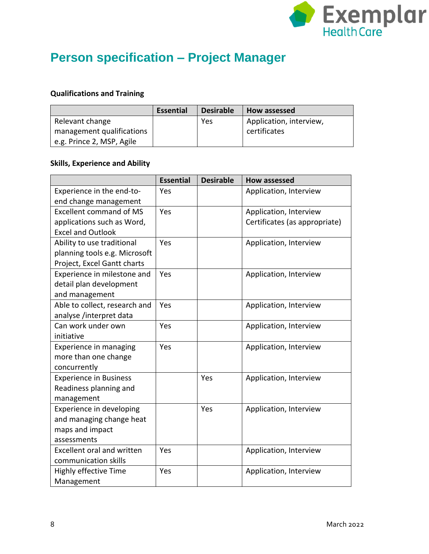

# **Person specification – Project Manager**

## **Qualifications and Training**

|                           | <b>Essential</b> | <b>Desirable</b> | How assessed            |
|---------------------------|------------------|------------------|-------------------------|
| Relevant change           |                  | Yes              | Application, interview, |
| management qualifications |                  |                  | certificates            |
| e.g. Prince 2, MSP, Agile |                  |                  |                         |

## **Skills, Experience and Ability**

|                                   | <b>Essential</b> | <b>Desirable</b> | <b>How assessed</b>           |
|-----------------------------------|------------------|------------------|-------------------------------|
| Experience in the end-to-         | Yes              |                  | Application, Interview        |
| end change management             |                  |                  |                               |
| <b>Excellent command of MS</b>    | Yes              |                  | Application, Interview        |
| applications such as Word,        |                  |                  | Certificates (as appropriate) |
| <b>Excel and Outlook</b>          |                  |                  |                               |
| Ability to use traditional        | Yes              |                  | Application, Interview        |
| planning tools e.g. Microsoft     |                  |                  |                               |
| Project, Excel Gantt charts       |                  |                  |                               |
| Experience in milestone and       | Yes              |                  | Application, Interview        |
| detail plan development           |                  |                  |                               |
| and management                    |                  |                  |                               |
| Able to collect, research and     | Yes              |                  | Application, Interview        |
| analyse /interpret data           |                  |                  |                               |
| Can work under own                | Yes              |                  | Application, Interview        |
| initiative                        |                  |                  |                               |
| Experience in managing            | Yes              |                  | Application, Interview        |
| more than one change              |                  |                  |                               |
| concurrently                      |                  |                  |                               |
| <b>Experience in Business</b>     |                  | Yes              | Application, Interview        |
| Readiness planning and            |                  |                  |                               |
| management                        |                  |                  |                               |
| Experience in developing          |                  | Yes              | Application, Interview        |
| and managing change heat          |                  |                  |                               |
| maps and impact                   |                  |                  |                               |
| assessments                       |                  |                  |                               |
| <b>Excellent oral and written</b> | Yes              |                  | Application, Interview        |
| communication skills              |                  |                  |                               |
| Highly effective Time             | Yes              |                  | Application, Interview        |
| Management                        |                  |                  |                               |